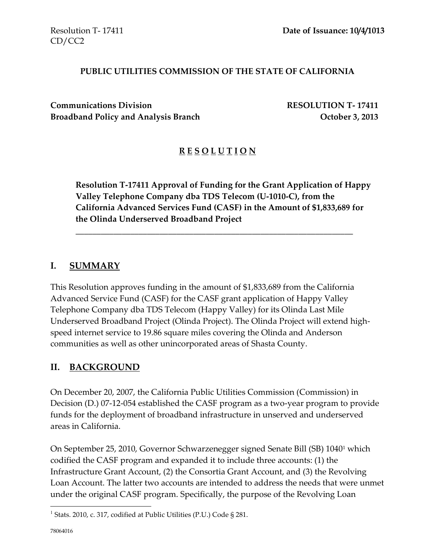#### **PUBLIC UTILITIES COMMISSION OF THE STATE OF CALIFORNIA**

**Communications Division RESOLUTION T- 17411 Broadband Policy and Analysis Branch Department Concrete Algebra 2013** 

#### **R E S O L U T I O N**

**Resolution T-17411 Approval of Funding for the Grant Application of Happy Valley Telephone Company dba TDS Telecom (U-1010-C), from the California Advanced Services Fund (CASF) in the Amount of \$1,833,689 for the Olinda Underserved Broadband Project**

\_\_\_\_\_\_\_\_\_\_\_\_\_\_\_\_\_\_\_\_\_\_\_\_\_\_\_\_\_\_\_\_\_\_\_\_\_\_\_\_\_\_\_\_\_\_\_\_\_\_\_\_\_\_\_\_\_\_\_\_\_\_\_\_\_\_

#### **I. SUMMARY**

This Resolution approves funding in the amount of \$1,833,689 from the California Advanced Service Fund (CASF) for the CASF grant application of Happy Valley Telephone Company dba TDS Telecom (Happy Valley) for its Olinda Last Mile Underserved Broadband Project (Olinda Project). The Olinda Project will extend highspeed internet service to 19.86 square miles covering the Olinda and Anderson communities as well as other unincorporated areas of Shasta County.

#### **II. BACKGROUND**

On December 20, 2007, the California Public Utilities Commission (Commission) in Decision (D.) 07-12-054 established the CASF program as a two-year program to provide funds for the deployment of broadband infrastructure in unserved and underserved areas in California.

On September 25, 2010, Governor Schwarzenegger signed Senate Bill (SB) 1040<sup>1</sup> which codified the CASF program and expanded it to include three accounts: (1) the Infrastructure Grant Account, (2) the Consortia Grant Account, and (3) the Revolving Loan Account. The latter two accounts are intended to address the needs that were unmet under the original CASF program. Specifically, the purpose of the Revolving Loan

 $\overline{a}$ 

<sup>&</sup>lt;sup>1</sup> Stats. 2010, c. 317, codified at Public Utilities (P.U.) Code § 281.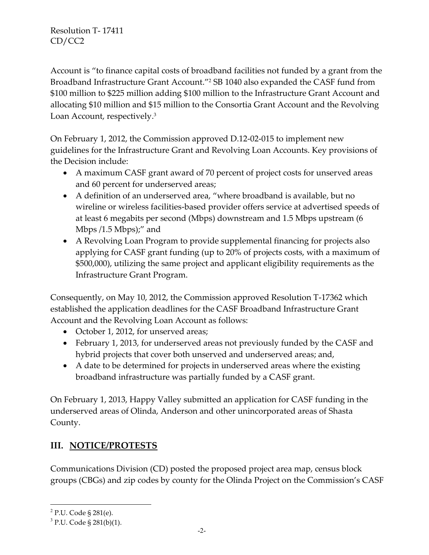Account is "to finance capital costs of broadband facilities not funded by a grant from the Broadband Infrastructure Grant Account."<sup>2</sup> SB 1040 also expanded the CASF fund from \$100 million to \$225 million adding \$100 million to the Infrastructure Grant Account and allocating \$10 million and \$15 million to the Consortia Grant Account and the Revolving Loan Account, respectively. 3

On February 1, 2012, the Commission approved D.12-02-015 to implement new guidelines for the Infrastructure Grant and Revolving Loan Accounts. Key provisions of the Decision include:

- A maximum CASF grant award of 70 percent of project costs for unserved areas and 60 percent for underserved areas;
- A definition of an underserved area, "where broadband is available, but no wireline or wireless facilities-based provider offers service at advertised speeds of at least 6 megabits per second (Mbps) downstream and 1.5 Mbps upstream (6 Mbps /1.5 Mbps);" and
- A Revolving Loan Program to provide supplemental financing for projects also applying for CASF grant funding (up to 20% of projects costs, with a maximum of \$500,000), utilizing the same project and applicant eligibility requirements as the Infrastructure Grant Program.

Consequently, on May 10, 2012, the Commission approved Resolution T-17362 which established the application deadlines for the CASF Broadband Infrastructure Grant Account and the Revolving Loan Account as follows:

- October 1, 2012, for unserved areas;
- February 1, 2013, for underserved areas not previously funded by the CASF and hybrid projects that cover both unserved and underserved areas; and,
- A date to be determined for projects in underserved areas where the existing broadband infrastructure was partially funded by a CASF grant.

On February 1, 2013, Happy Valley submitted an application for CASF funding in the underserved areas of Olinda, Anderson and other unincorporated areas of Shasta County.

# **III. NOTICE/PROTESTS**

Communications Division (CD) posted the proposed project area map, census block groups (CBGs) and zip codes by county for the Olinda Project on the Commission's CASF

 $\overline{a}$ 

<sup>&</sup>lt;sup>2</sup> P.U. Code § 281(e).

 $3$  P.U. Code § 281(b)(1).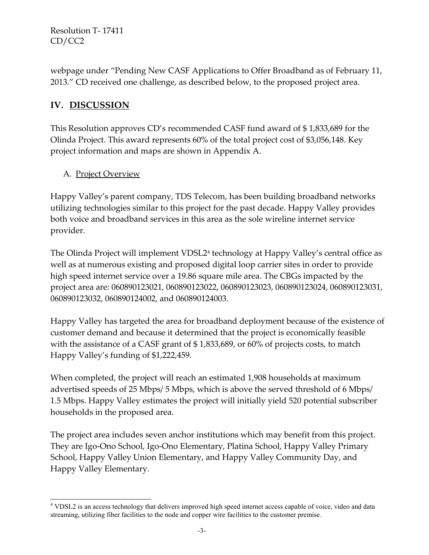webpage under "Pending New CASF Applications to Offer Broadband as of February 11, 2013." CD received one challenge, as described below, to the proposed project area.

## **IV. DISCUSSION**

This Resolution approves CD's recommended CASF fund award of \$ 1,833,689 for the Olinda Project. This award represents 60% of the total project cost of \$3,056,148. Key project information and maps are shown in Appendix A.

#### A. Project Overview

Happy Valley's parent company, TDS Telecom, has been building broadband networks utilizing technologies similar to this project for the past decade. Happy Valley provides both voice and broadband services in this area as the sole wireline internet service provider.

The Olinda Project will implement VDSL2<sup>4</sup> technology at Happy Valley's central office as well as at numerous existing and proposed digital loop carrier sites in order to provide high speed internet service over a 19.86 square mile area. The CBGs impacted by the project area are: 060890123021, 060890123022, 060890123023, 060890123024, 060890123031, 060890123032, 060890124002, and 060890124003.

Happy Valley has targeted the area for broadband deployment because of the existence of customer demand and because it determined that the project is economically feasible with the assistance of a CASF grant of \$1,833,689, or 60% of projects costs, to match Happy Valley's funding of \$1,222,459.

When completed, the project will reach an estimated 1,908 households at maximum advertised speeds of 25 Mbps/ 5 Mbps, which is above the served threshold of 6 Mbps/ 1.5 Mbps. Happy Valley estimates the project will initially yield 520 potential subscriber households in the proposed area.

The project area includes seven anchor institutions which may benefit from this project. They are Igo-Ono School, Igo-Ono Elementary, Platina School, Happy Valley Primary School, Happy Valley Union Elementary, and Happy Valley Community Day, and Happy Valley Elementary.

 $\overline{a}$ <sup>4</sup> VDSL2 is an access technology that delivers improved high speed internet access capable of voice, video and data streaming, utilizing fiber facilities to the node and copper wire facilities to the customer premise.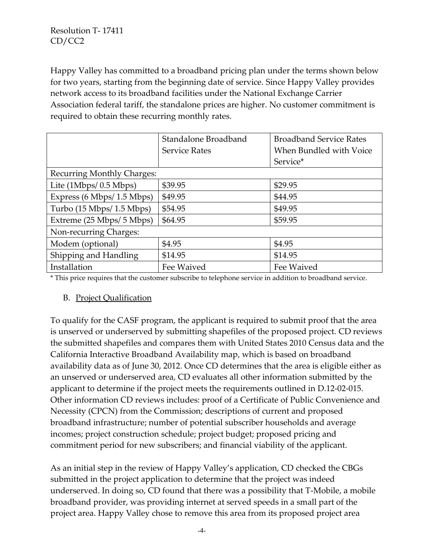Happy Valley has committed to a broadband pricing plan under the terms shown below for two years, starting from the beginning date of service. Since Happy Valley provides network access to its broadband facilities under the National Exchange Carrier Association federal tariff, the standalone prices are higher. No customer commitment is required to obtain these recurring monthly rates.

|                                   | Standalone Broadband | <b>Broadband Service Rates</b> |  |
|-----------------------------------|----------------------|--------------------------------|--|
|                                   | <b>Service Rates</b> | When Bundled with Voice        |  |
|                                   |                      | Service*                       |  |
| <b>Recurring Monthly Charges:</b> |                      |                                |  |
| Lite $(1Mbps/ 0.5 Mbps)$          | \$39.95              | \$29.95                        |  |
| Express (6 Mbps/ 1.5 Mbps)        | \$49.95              | \$44.95                        |  |
| Turbo (15 Mbps/ 1.5 Mbps)         | \$54.95              | \$49.95                        |  |
| Extreme (25 Mbps/ 5 Mbps)         | \$64.95<br>\$59.95   |                                |  |
| Non-recurring Charges:            |                      |                                |  |
| Modem (optional)                  | \$4.95               | \$4.95                         |  |
| Shipping and Handling             | \$14.95              | \$14.95                        |  |
| Installation                      | Fee Waived           | Fee Waived                     |  |

\* This price requires that the customer subscribe to telephone service in addition to broadband service.

#### B. Project Qualification

To qualify for the CASF program, the applicant is required to submit proof that the area is unserved or underserved by submitting shapefiles of the proposed project. CD reviews the submitted shapefiles and compares them with United States 2010 Census data and the California Interactive Broadband Availability map, which is based on broadband availability data as of June 30, 2012. Once CD determines that the area is eligible either as an unserved or underserved area, CD evaluates all other information submitted by the applicant to determine if the project meets the requirements outlined in D.12-02-015. Other information CD reviews includes: proof of a Certificate of Public Convenience and Necessity (CPCN) from the Commission; descriptions of current and proposed broadband infrastructure; number of potential subscriber households and average incomes; project construction schedule; project budget; proposed pricing and commitment period for new subscribers; and financial viability of the applicant.

As an initial step in the review of Happy Valley's application, CD checked the CBGs submitted in the project application to determine that the project was indeed underserved. In doing so, CD found that there was a possibility that T-Mobile, a mobile broadband provider, was providing internet at served speeds in a small part of the project area. Happy Valley chose to remove this area from its proposed project area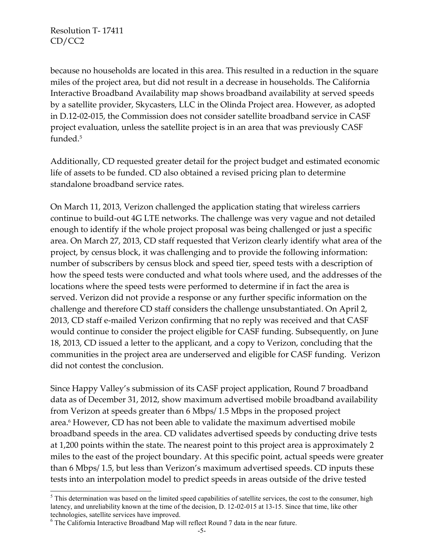$\overline{a}$ 

because no households are located in this area. This resulted in a reduction in the square miles of the project area, but did not result in a decrease in households. The California Interactive Broadband Availability map shows broadband availability at served speeds by a satellite provider, Skycasters, LLC in the Olinda Project area. However, as adopted in D.12-02-015, the Commission does not consider satellite broadband service in CASF project evaluation, unless the satellite project is in an area that was previously CASF funded.<sup>5</sup>

Additionally, CD requested greater detail for the project budget and estimated economic life of assets to be funded. CD also obtained a revised pricing plan to determine standalone broadband service rates.

On March 11, 2013, Verizon challenged the application stating that wireless carriers continue to build-out 4G LTE networks. The challenge was very vague and not detailed enough to identify if the whole project proposal was being challenged or just a specific area. On March 27, 2013, CD staff requested that Verizon clearly identify what area of the project, by census block, it was challenging and to provide the following information: number of subscribers by census block and speed tier, speed tests with a description of how the speed tests were conducted and what tools where used, and the addresses of the locations where the speed tests were performed to determine if in fact the area is served. Verizon did not provide a response or any further specific information on the challenge and therefore CD staff considers the challenge unsubstantiated. On April 2, 2013, CD staff e-mailed Verizon confirming that no reply was received and that CASF would continue to consider the project eligible for CASF funding. Subsequently, on June 18, 2013, CD issued a letter to the applicant, and a copy to Verizon, concluding that the communities in the project area are underserved and eligible for CASF funding. Verizon did not contest the conclusion.

Since Happy Valley's submission of its CASF project application, Round 7 broadband data as of December 31, 2012, show maximum advertised mobile broadband availability from Verizon at speeds greater than 6 Mbps/ 1.5 Mbps in the proposed project area.<sup>6</sup> However, CD has not been able to validate the maximum advertised mobile broadband speeds in the area. CD validates advertised speeds by conducting drive tests at 1,200 points within the state. The nearest point to this project area is approximately 2 miles to the east of the project boundary. At this specific point, actual speeds were greater than 6 Mbps/ 1.5, but less than Verizon's maximum advertised speeds. CD inputs these tests into an interpolation model to predict speeds in areas outside of the drive tested

 $<sup>5</sup>$  This determination was based on the limited speed capabilities of satellite services, the cost to the consumer, high</sup> latency, and unreliability known at the time of the decision, D. 12-02-015 at 13-15. Since that time, like other technologies, satellite services have improved.

 $6$  The California Interactive Broadband Map will reflect Round 7 data in the near future.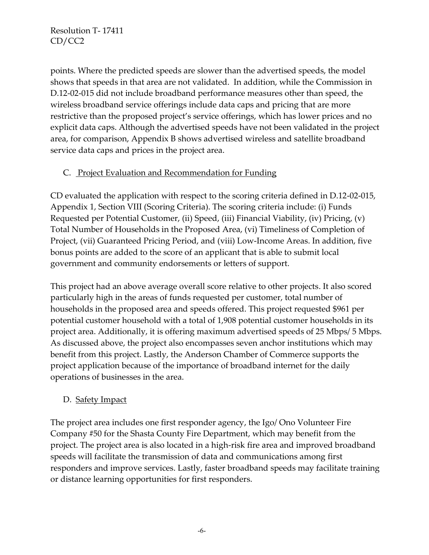points. Where the predicted speeds are slower than the advertised speeds, the model shows that speeds in that area are not validated. In addition, while the Commission in D.12-02-015 did not include broadband performance measures other than speed, the wireless broadband service offerings include data caps and pricing that are more restrictive than the proposed project's service offerings, which has lower prices and no explicit data caps. Although the advertised speeds have not been validated in the project area, for comparison, Appendix B shows advertised wireless and satellite broadband service data caps and prices in the project area.

### C. Project Evaluation and Recommendation for Funding

CD evaluated the application with respect to the scoring criteria defined in D.12-02-015, Appendix 1, Section VIII (Scoring Criteria). The scoring criteria include: (i) Funds Requested per Potential Customer, (ii) Speed, (iii) Financial Viability, (iv) Pricing, (v) Total Number of Households in the Proposed Area, (vi) Timeliness of Completion of Project, (vii) Guaranteed Pricing Period, and (viii) Low-Income Areas. In addition, five bonus points are added to the score of an applicant that is able to submit local government and community endorsements or letters of support.

This project had an above average overall score relative to other projects. It also scored particularly high in the areas of funds requested per customer, total number of households in the proposed area and speeds offered. This project requested \$961 per potential customer household with a total of 1,908 potential customer households in its project area. Additionally, it is offering maximum advertised speeds of 25 Mbps/ 5 Mbps. As discussed above, the project also encompasses seven anchor institutions which may benefit from this project. Lastly, the Anderson Chamber of Commerce supports the project application because of the importance of broadband internet for the daily operations of businesses in the area.

#### D. Safety Impact

The project area includes one first responder agency, the Igo/ Ono Volunteer Fire Company #50 for the Shasta County Fire Department, which may benefit from the project. The project area is also located in a high-risk fire area and improved broadband speeds will facilitate the transmission of data and communications among first responders and improve services. Lastly, faster broadband speeds may facilitate training or distance learning opportunities for first responders.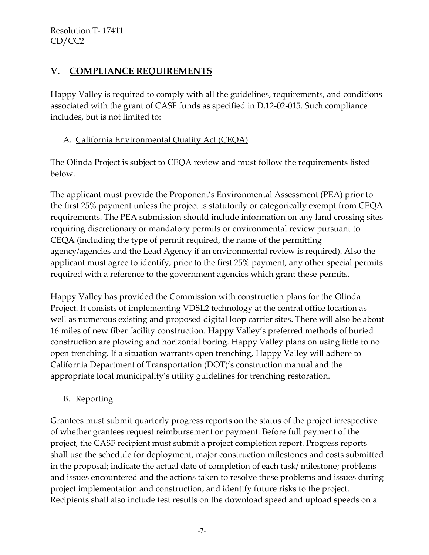## **V. COMPLIANCE REQUIREMENTS**

Happy Valley is required to comply with all the guidelines, requirements, and conditions associated with the grant of CASF funds as specified in D.12-02-015. Such compliance includes, but is not limited to:

#### A. California Environmental Quality Act (CEQA)

The Olinda Project is subject to CEQA review and must follow the requirements listed below.

The applicant must provide the Proponent's Environmental Assessment (PEA) prior to the first 25% payment unless the project is statutorily or categorically exempt from CEQA requirements. The PEA submission should include information on any land crossing sites requiring discretionary or mandatory permits or environmental review pursuant to CEQA (including the type of permit required, the name of the permitting agency/agencies and the Lead Agency if an environmental review is required). Also the applicant must agree to identify, prior to the first 25% payment, any other special permits required with a reference to the government agencies which grant these permits.

Happy Valley has provided the Commission with construction plans for the Olinda Project. It consists of implementing VDSL2 technology at the central office location as well as numerous existing and proposed digital loop carrier sites. There will also be about 16 miles of new fiber facility construction. Happy Valley's preferred methods of buried construction are plowing and horizontal boring. Happy Valley plans on using little to no open trenching. If a situation warrants open trenching, Happy Valley will adhere to California Department of Transportation (DOT)'s construction manual and the appropriate local municipality's utility guidelines for trenching restoration.

### B. Reporting

Grantees must submit quarterly progress reports on the status of the project irrespective of whether grantees request reimbursement or payment. Before full payment of the project, the CASF recipient must submit a project completion report. Progress reports shall use the schedule for deployment, major construction milestones and costs submitted in the proposal; indicate the actual date of completion of each task/ milestone; problems and issues encountered and the actions taken to resolve these problems and issues during project implementation and construction; and identify future risks to the project. Recipients shall also include test results on the download speed and upload speeds on a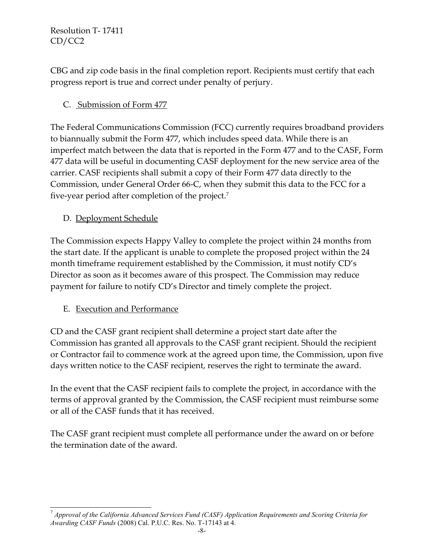CBG and zip code basis in the final completion report. Recipients must certify that each progress report is true and correct under penalty of perjury.

## C. Submission of Form 477

The Federal Communications Commission (FCC) currently requires broadband providers to biannually submit the Form 477, which includes speed data. While there is an imperfect match between the data that is reported in the Form 477 and to the CASF, Form 477 data will be useful in documenting CASF deployment for the new service area of the carrier. CASF recipients shall submit a copy of their Form 477 data directly to the Commission, under General Order 66-C, when they submit this data to the FCC for a five-year period after completion of the project.<sup>7</sup>

## D. Deployment Schedule

The Commission expects Happy Valley to complete the project within 24 months from the start date. If the applicant is unable to complete the proposed project within the 24 month timeframe requirement established by the Commission, it must notify CD's Director as soon as it becomes aware of this prospect. The Commission may reduce payment for failure to notify CD's Director and timely complete the project.

### E. Execution and Performance

CD and the CASF grant recipient shall determine a project start date after the Commission has granted all approvals to the CASF grant recipient. Should the recipient or Contractor fail to commence work at the agreed upon time, the Commission, upon five days written notice to the CASF recipient, reserves the right to terminate the award.

In the event that the CASF recipient fails to complete the project, in accordance with the terms of approval granted by the Commission, the CASF recipient must reimburse some or all of the CASF funds that it has received.

The CASF grant recipient must complete all performance under the award on or before the termination date of the award.

 $\overline{a}$ <sup>7</sup> *Approval of the California Advanced Services Fund (CASF) Application Requirements and Scoring Criteria for Awarding CASF Funds* (2008) Cal. P.U.C. Res. No. T-17143 at 4.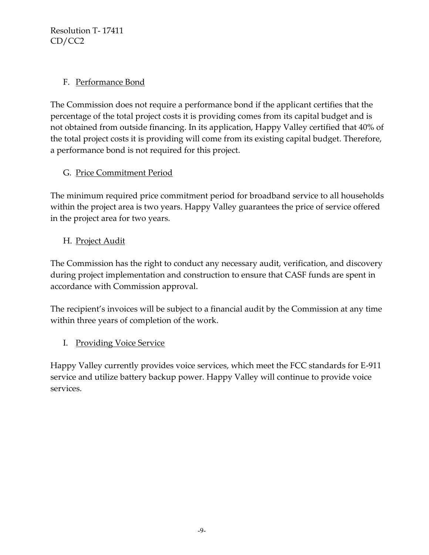### F. Performance Bond

The Commission does not require a performance bond if the applicant certifies that the percentage of the total project costs it is providing comes from its capital budget and is not obtained from outside financing. In its application, Happy Valley certified that 40% of the total project costs it is providing will come from its existing capital budget. Therefore, a performance bond is not required for this project.

## G. Price Commitment Period

The minimum required price commitment period for broadband service to all households within the project area is two years. Happy Valley guarantees the price of service offered in the project area for two years.

## H. Project Audit

The Commission has the right to conduct any necessary audit, verification, and discovery during project implementation and construction to ensure that CASF funds are spent in accordance with Commission approval.

The recipient's invoices will be subject to a financial audit by the Commission at any time within three years of completion of the work.

## I. Providing Voice Service

Happy Valley currently provides voice services, which meet the FCC standards for E-911 service and utilize battery backup power. Happy Valley will continue to provide voice services.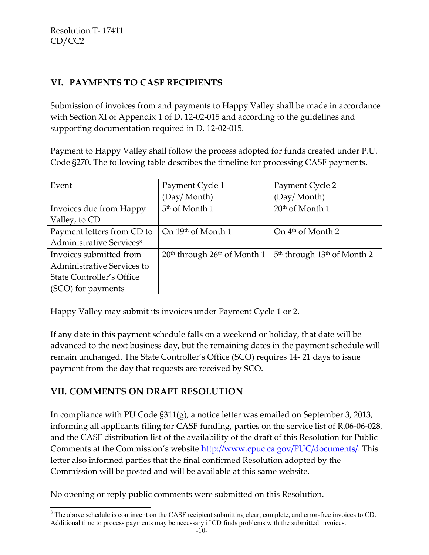## **VI. PAYMENTS TO CASF RECIPIENTS**

Submission of invoices from and payments to Happy Valley shall be made in accordance with Section XI of Appendix 1 of D. 12-02-015 and according to the guidelines and supporting documentation required in D. 12-02-015.

Payment to Happy Valley shall follow the process adopted for funds created under P.U. Code §270. The following table describes the timeline for processing CASF payments.

| Event                                | Payment Cycle 1                  | Payment Cycle 2                 |  |
|--------------------------------------|----------------------------------|---------------------------------|--|
|                                      | (Day/Month)                      | (Day/Month)                     |  |
| Invoices due from Happy              | 5 <sup>th</sup> of Month 1       | 20 <sup>th</sup> of Month 1     |  |
| Valley, to CD                        |                                  |                                 |  |
| Payment letters from CD to           | On 19th of Month 1               | On 4 <sup>th</sup> of Month 2   |  |
| Administrative Services <sup>8</sup> |                                  |                                 |  |
| Invoices submitted from              | $20th$ through $26th$ of Month 1 | $5th$ through $13th$ of Month 2 |  |
| Administrative Services to           |                                  |                                 |  |
| <b>State Controller's Office</b>     |                                  |                                 |  |
| (SCO) for payments                   |                                  |                                 |  |

Happy Valley may submit its invoices under Payment Cycle 1 or 2.

If any date in this payment schedule falls on a weekend or holiday, that date will be advanced to the next business day, but the remaining dates in the payment schedule will remain unchanged. The State Controller's Office (SCO) requires 14- 21 days to issue payment from the day that requests are received by SCO.

### **VII. COMMENTS ON DRAFT RESOLUTION**

 $\overline{a}$ 

In compliance with PU Code §311(g), a notice letter was emailed on September 3, 2013, informing all applicants filing for CASF funding, parties on the service list of R.06-06-028, and the CASF distribution list of the availability of the draft of this Resolution for Public Comments at the Commission's website [http://www.cpuc.ca.gov/PUC/documents/.](http://www.cpuc.ca.gov/PUC/documents/) This letter also informed parties that the final confirmed Resolution adopted by the Commission will be posted and will be available at this same website.

No opening or reply public comments were submitted on this Resolution.

<sup>&</sup>lt;sup>8</sup> The above schedule is contingent on the CASF recipient submitting clear, complete, and error-free invoices to CD. Additional time to process payments may be necessary if CD finds problems with the submitted invoices.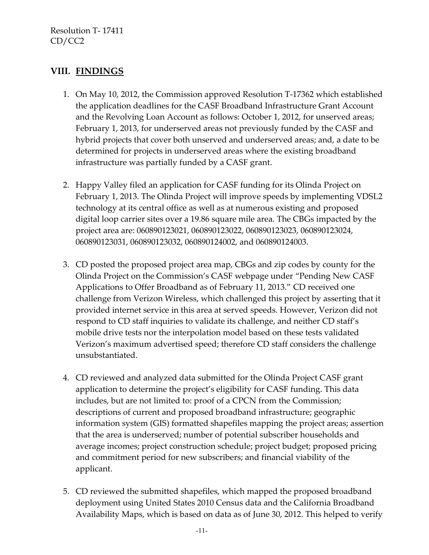### **VIII. FINDINGS**

- 1. On May 10, 2012, the Commission approved Resolution T-17362 which established the application deadlines for the CASF Broadband Infrastructure Grant Account and the Revolving Loan Account as follows: October 1, 2012, for unserved areas; February 1, 2013, for underserved areas not previously funded by the CASF and hybrid projects that cover both unserved and underserved areas; and, a date to be determined for projects in underserved areas where the existing broadband infrastructure was partially funded by a CASF grant.
- 2. Happy Valley filed an application for CASF funding for its Olinda Project on February 1, 2013. The Olinda Project will improve speeds by implementing VDSL2 technology at its central office as well as at numerous existing and proposed digital loop carrier sites over a 19.86 square mile area. The CBGs impacted by the project area are: 060890123021, 060890123022, 060890123023, 060890123024, 060890123031, 060890123032, 060890124002, and 060890124003.
- 3. CD posted the proposed project area map, CBGs and zip codes by county for the Olinda Project on the Commission's CASF webpage under "Pending New CASF Applications to Offer Broadband as of February 11, 2013." CD received one challenge from Verizon Wireless, which challenged this project by asserting that it provided internet service in this area at served speeds. However, Verizon did not respond to CD staff inquiries to validate its challenge, and neither CD staff's mobile drive tests nor the interpolation model based on these tests validated Verizon's maximum advertised speed; therefore CD staff considers the challenge unsubstantiated.
- 4. CD reviewed and analyzed data submitted for the Olinda Project CASF grant application to determine the project's eligibility for CASF funding. This data includes, but are not limited to: proof of a CPCN from the Commission; descriptions of current and proposed broadband infrastructure; geographic information system (GIS) formatted shapefiles mapping the project areas; assertion that the area is underserved; number of potential subscriber households and average incomes; project construction schedule; project budget; proposed pricing and commitment period for new subscribers; and financial viability of the applicant.
- 5. CD reviewed the submitted shapefiles, which mapped the proposed broadband deployment using United States 2010 Census data and the California Broadband Availability Maps, which is based on data as of June 30, 2012. This helped to verify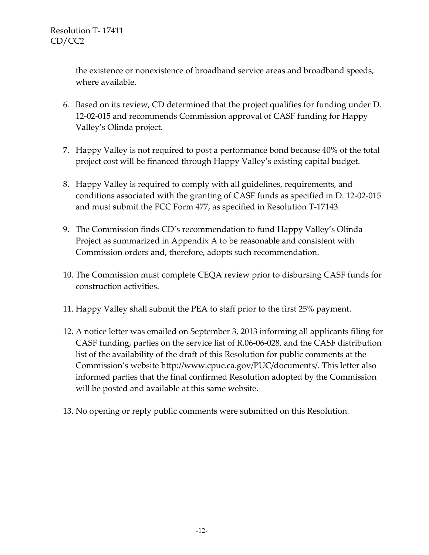the existence or nonexistence of broadband service areas and broadband speeds, where available.

- 6. Based on its review, CD determined that the project qualifies for funding under D. 12-02-015 and recommends Commission approval of CASF funding for Happy Valley's Olinda project.
- 7. Happy Valley is not required to post a performance bond because 40% of the total project cost will be financed through Happy Valley's existing capital budget.
- 8. Happy Valley is required to comply with all guidelines, requirements, and conditions associated with the granting of CASF funds as specified in D. 12-02-015 and must submit the FCC Form 477, as specified in Resolution T-17143.
- 9. The Commission finds CD's recommendation to fund Happy Valley's Olinda Project as summarized in Appendix A to be reasonable and consistent with Commission orders and, therefore, adopts such recommendation.
- 10. The Commission must complete CEQA review prior to disbursing CASF funds for construction activities.
- 11. Happy Valley shall submit the PEA to staff prior to the first 25% payment.
- 12. A notice letter was emailed on September 3, 2013 informing all applicants filing for CASF funding, parties on the service list of R.06-06-028, and the CASF distribution list of the availability of the draft of this Resolution for public comments at the Commission's website [http://www.cpuc.ca.gov/PUC/documents/.](http://www.cpuc.ca.gov/PUC/documents/) This letter also informed parties that the final confirmed Resolution adopted by the Commission will be posted and available at this same website.
- 13. No opening or reply public comments were submitted on this Resolution.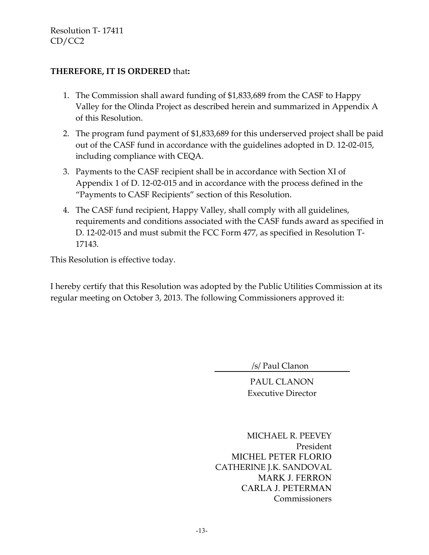#### **THEREFORE, IT IS ORDERED** that**:**

- 1. The Commission shall award funding of \$1,833,689 from the CASF to Happy Valley for the Olinda Project as described herein and summarized in Appendix A of this Resolution.
- 2. The program fund payment of \$1,833,689 for this underserved project shall be paid out of the CASF fund in accordance with the guidelines adopted in D. 12-02-015, including compliance with CEQA.
- 3. Payments to the CASF recipient shall be in accordance with Section XI of Appendix 1 of D. 12-02-015 and in accordance with the process defined in the "Payments to CASF Recipients" section of this Resolution.
- 4. The CASF fund recipient, Happy Valley, shall comply with all guidelines, requirements and conditions associated with the CASF funds award as specified in D. 12-02-015 and must submit the FCC Form 477, as specified in Resolution T-17143.

This Resolution is effective today.

I hereby certify that this Resolution was adopted by the Public Utilities Commission at its regular meeting on October 3, 2013. The following Commissioners approved it:

/s/ Paul Clanon

PAUL CLANON Executive Director

MICHAEL R. PEEVEY President MICHEL PETER FLORIO CATHERINE J.K. SANDOVAL MARK J. FERRON CARLA J. PETERMAN Commissioners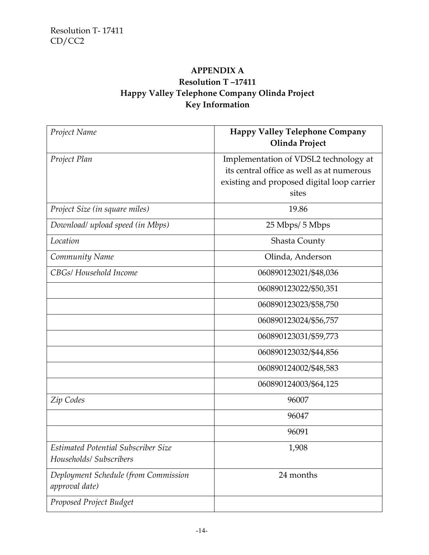## **APPENDIX A Resolution T –17411 Happy Valley Telephone Company Olinda Project Key Information**

| Project Name                                                   | <b>Happy Valley Telephone Company</b><br>Olinda Project                                                                                   |
|----------------------------------------------------------------|-------------------------------------------------------------------------------------------------------------------------------------------|
| Project Plan                                                   | Implementation of VDSL2 technology at<br>its central office as well as at numerous<br>existing and proposed digital loop carrier<br>sites |
| Project Size (in square miles)                                 | 19.86                                                                                                                                     |
| Download/ upload speed (in Mbps)                               | 25 Mbps/ 5 Mbps                                                                                                                           |
| Location                                                       | Shasta County                                                                                                                             |
| Community Name                                                 | Olinda, Anderson                                                                                                                          |
| CBGs/ Household Income                                         | 060890123021/\$48,036                                                                                                                     |
|                                                                | 060890123022/\$50,351                                                                                                                     |
|                                                                | 060890123023/\$58,750                                                                                                                     |
|                                                                | 060890123024/\$56,757                                                                                                                     |
|                                                                | 060890123031/\$59,773                                                                                                                     |
|                                                                | 060890123032/\$44,856                                                                                                                     |
|                                                                | 060890124002/\$48,583                                                                                                                     |
|                                                                | 060890124003/\$64,125                                                                                                                     |
| Zip Codes                                                      | 96007                                                                                                                                     |
|                                                                | 96047                                                                                                                                     |
|                                                                | 96091                                                                                                                                     |
| Estimated Potential Subscriber Size<br>Households/ Subscribers | 1,908                                                                                                                                     |
| Deployment Schedule (from Commission<br>approval date)         | 24 months                                                                                                                                 |
| Proposed Project Budget                                        |                                                                                                                                           |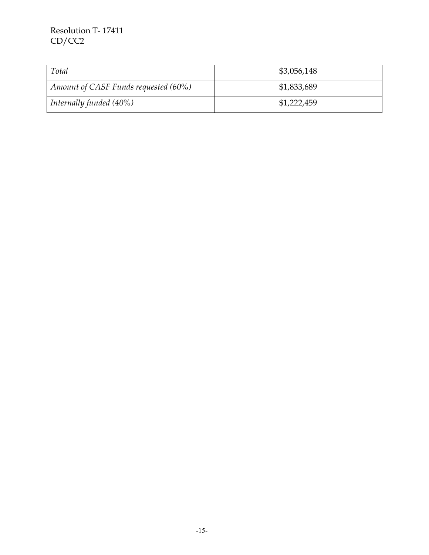| Total                                | \$3,056,148 |
|--------------------------------------|-------------|
| Amount of CASF Funds requested (60%) | \$1,833,689 |
| Internally funded $(40\%)$           | \$1,222,459 |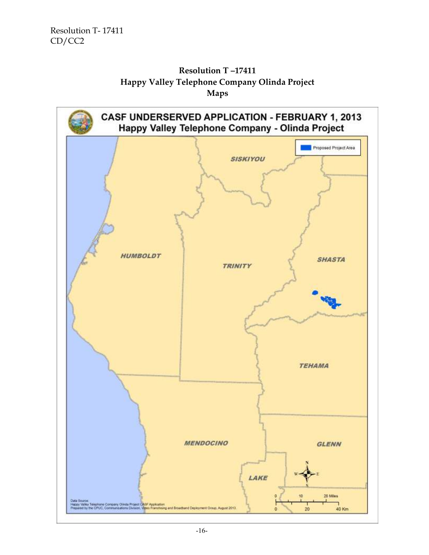

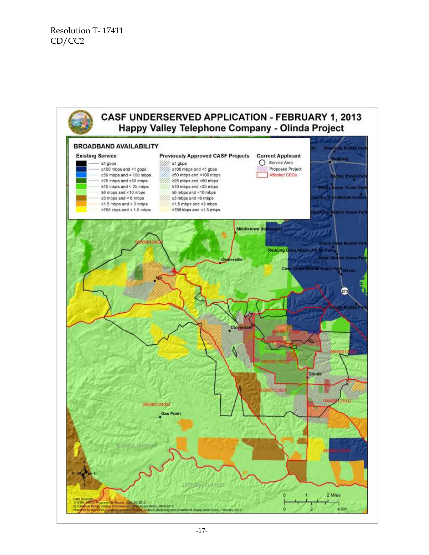